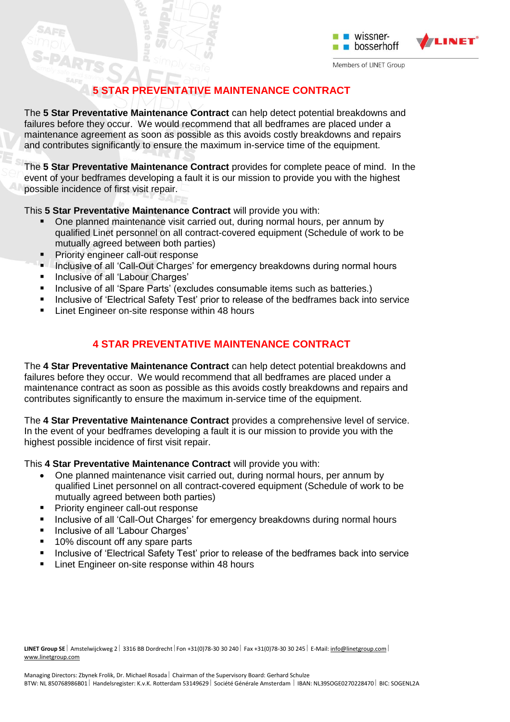

## **5 STAR PREVENTATIVE MAINTENANCE CONTRACT**

The **5 Star Preventative Maintenance Contract** can help detect potential breakdowns and failures before they occur. We would recommend that all bedframes are placed under a maintenance agreement as soon as possible as this avoids costly breakdowns and repairs and contributes significantly to ensure the maximum in-service time of the equipment.

The **5 Star Preventative Maintenance Contract** provides for complete peace of mind. In the event of your bedframes developing a fault it is our mission to provide you with the highest possible incidence of first visit repair.

This **5 Star Preventative Maintenance Contract** will provide you with:

- One planned maintenance visit carried out, during normal hours, per annum by qualified Linet personnel on all contract-covered equipment (Schedule of work to be mutually agreed between both parties)
- **Priority engineer call-out response**
- **Inclusive of all 'Call-Out Charges' for emergency breakdowns during normal hours**
- **Inclusive of all 'Labour Charges'**
- **Inclusive of all 'Spare Parts' (excludes consumable items such as batteries.)**
- **Inclusive of 'Electrical Safety Test' prior to release of the bedframes back into service**
- Linet Engineer on-site response within 48 hours

## **4 STAR PREVENTATIVE MAINTENANCE CONTRACT**

The **4 Star Preventative Maintenance Contract** can help detect potential breakdowns and failures before they occur. We would recommend that all bedframes are placed under a maintenance contract as soon as possible as this avoids costly breakdowns and repairs and contributes significantly to ensure the maximum in-service time of the equipment.

The **4 Star Preventative Maintenance Contract** provides a comprehensive level of service. In the event of your bedframes developing a fault it is our mission to provide you with the highest possible incidence of first visit repair.

This **4 Star Preventative Maintenance Contract** will provide you with:

- One planned maintenance visit carried out, during normal hours, per annum by qualified Linet personnel on all contract-covered equipment (Schedule of work to be mutually agreed between both parties)
- **Priority engineer call-out response**
- **Inclusive of all 'Call-Out Charges' for emergency breakdowns during normal hours**
- Inclusive of all 'Labour Charges'
- 10% discount off any spare parts
- **Inclusive of 'Electrical Safety Test' prior to release of the bedframes back into service**
- **EXEC** Linet Engineer on-site response within 48 hours

LINET Group SE | Amstelwijckweg 2 | 3316 BB Dordrecht | Fon +31(0)78-30 30 240 | Fax +31(0)78-30 30 245 | E-Mail[: info@linetgroup.com](mailto:info@linetgroup.com) | [www.linetgroup.com](http://www.linetgroup.com/)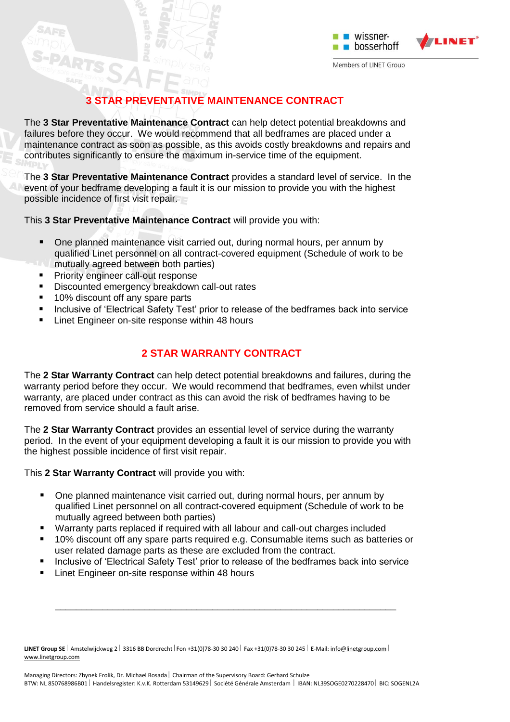

# **3 STAR PREVENTATIVE MAINTENANCE CONTRACT**

The **3 Star Preventative Maintenance Contract** can help detect potential breakdowns and failures before they occur. We would recommend that all bedframes are placed under a maintenance contract as soon as possible, as this avoids costly breakdowns and repairs and contributes significantly to ensure the maximum in-service time of the equipment.

The **3 Star Preventative Maintenance Contract** provides a standard level of service. In the event of your bedframe developing a fault it is our mission to provide you with the highest possible incidence of first visit repair.

This **3 Star Preventative Maintenance Contract** will provide you with:

- One planned maintenance visit carried out, during normal hours, per annum by qualified Linet personnel on all contract-covered equipment (Schedule of work to be mutually agreed between both parties)
- **Priority engineer call-out response**
- Discounted emergency breakdown call-out rates
- 10% discount off any spare parts
- **Inclusive of 'Electrical Safety Test' prior to release of the bedframes back into service**
- Linet Engineer on-site response within 48 hours

## **2 STAR WARRANTY CONTRACT**

The **2 Star Warranty Contract** can help detect potential breakdowns and failures, during the warranty period before they occur. We would recommend that bedframes, even whilst under warranty, are placed under contract as this can avoid the risk of bedframes having to be removed from service should a fault arise.

The **2 Star Warranty Contract** provides an essential level of service during the warranty period. In the event of your equipment developing a fault it is our mission to provide you with the highest possible incidence of first visit repair.

This **2 Star Warranty Contract** will provide you with:

- One planned maintenance visit carried out, during normal hours, per annum by qualified Linet personnel on all contract-covered equipment (Schedule of work to be mutually agreed between both parties)
- Warranty parts replaced if required with all labour and call-out charges included
- 10% discount off any spare parts required e.g. Consumable items such as batteries or user related damage parts as these are excluded from the contract.
- Inclusive of 'Electrical Safety Test' prior to release of the bedframes back into service

\_\_\_\_\_\_\_\_\_\_\_\_\_\_\_\_\_\_\_\_\_\_\_\_\_\_\_\_\_\_\_\_\_\_\_\_\_\_\_\_\_\_\_\_\_\_\_\_\_\_\_\_\_\_\_\_\_\_\_\_\_\_\_\_\_

Linet Engineer on-site response within 48 hours